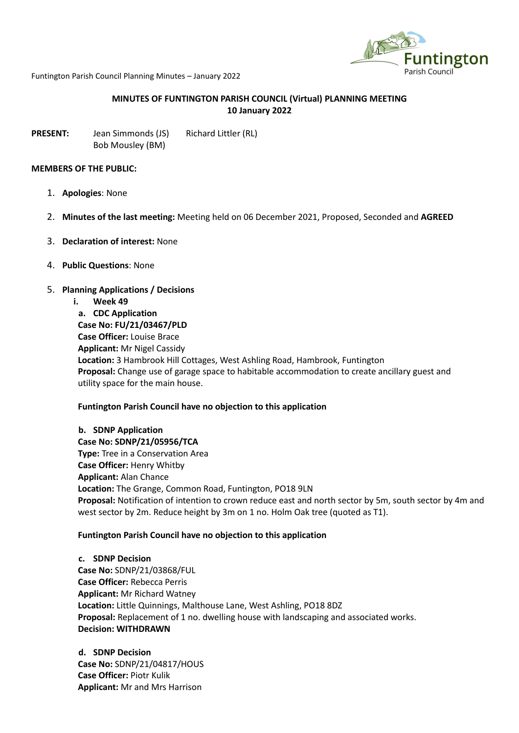

# **MINUTES OF FUNTINGTON PARISH COUNCIL (Virtual) PLANNING MEETING 10 January 2022**

**PRESENT:** Jean Simmonds (JS) Richard Littler (RL) Bob Mousley (BM)

#### **MEMBERS OF THE PUBLIC:**

- 1. **Apologies**: None
- 2. **Minutes of the last meeting:** Meeting held on 06 December 2021, Proposed, Seconded and **AGREED**
- 3. **Declaration of interest:** None
- 4. **Public Questions**: None
- 5. **Planning Applications / Decisions**
	- **i. Week 49**

**a. CDC Application Case No: FU/21/03467/PLD Case Officer:** Louise Brace **Applicant:** Mr Nigel Cassidy **Location:** 3 Hambrook Hill Cottages, West Ashling Road, Hambrook, Funtington **Proposal:** Change use of garage space to habitable accommodation to create ancillary guest and utility space for the main house.

#### **Funtington Parish Council have no objection to this application**

**b. SDNP Application Case No: SDNP/21/05956/TCA Type:** Tree in a Conservation Area **Case Officer:** Henry Whitby **Applicant:** Alan Chance **Location:** The Grange, Common Road, Funtington, PO18 9LN **Proposal:** Notification of intention to crown reduce east and north sector by 5m, south sector by 4m and west sector by 2m. Reduce height by 3m on 1 no. Holm Oak tree (quoted as T1).

#### **Funtington Parish Council have no objection to this application**

**c. SDNP Decision Case No:** SDNP/21/03868/FUL **Case Officer:** Rebecca Perris **Applicant:** Mr Richard Watney **Location:** Little Quinnings, Malthouse Lane, West Ashling, PO18 8DZ **Proposal:** Replacement of 1 no. dwelling house with landscaping and associated works. **Decision: WITHDRAWN**

**d. SDNP Decision Case No:** SDNP/21/04817/HOUS **Case Officer:** Piotr Kulik **Applicant:** Mr and Mrs Harrison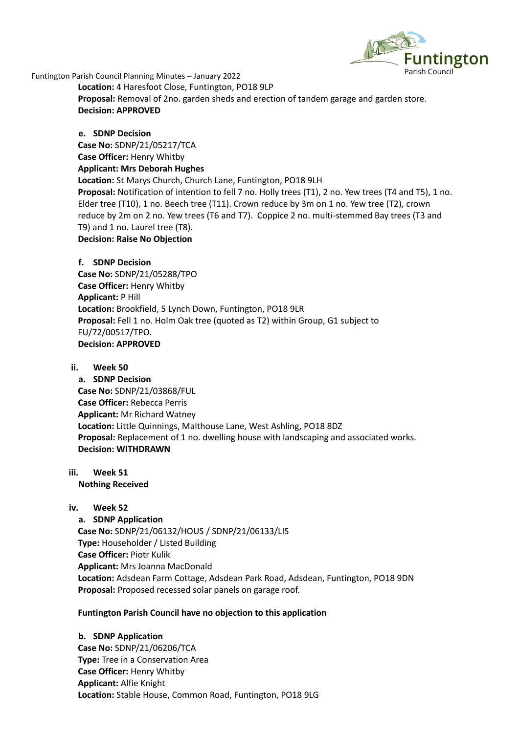

**Location:** 4 Haresfoot Close, Funtington, PO18 9LP **Proposal:** Removal of 2no. garden sheds and erection of tandem garage and garden store. **Decision: APPROVED**

**e. SDNP Decision Case No:** SDNP/21/05217/TCA **Case Officer:** Henry Whitby **Applicant: Mrs Deborah Hughes Location:** St Marys Church, Church Lane, Funtington, PO18 9LH **Proposal:** Notification of intention to fell 7 no. Holly trees (T1), 2 no. Yew trees (T4 and T5), 1 no. Elder tree (T10), 1 no. Beech tree (T11). Crown reduce by 3m on 1 no. Yew tree (T2), crown reduce by 2m on 2 no. Yew trees (T6 and T7). Coppice 2 no. multi-stemmed Bay trees (T3 and T9) and 1 no. Laurel tree (T8). **Decision: Raise No Objection f. SDNP Decision**

**Case No:** SDNP/21/05288/TPO **Case Officer:** Henry Whitby **Applicant:** P Hill **Location:** Brookfield, 5 Lynch Down, Funtington, PO18 9LR **Proposal:** Fell 1 no. Holm Oak tree (quoted as T2) within Group, G1 subject to FU/72/00517/TPO. **Decision: APPROVED**

**ii. Week 50**

**a. SDNP Decision Case No:** SDNP/21/03868/FUL **Case Officer:** Rebecca Perris **Applicant:** Mr Richard Watney **Location:** Little Quinnings, Malthouse Lane, West Ashling, PO18 8DZ **Proposal:** Replacement of 1 no. dwelling house with landscaping and associated works. **Decision: WITHDRAWN**

**iii. Week 51 Nothing Received**

## **iv. Week 52**

**a. SDNP Application Case No:** SDNP/21/06132/HOUS / SDNP/21/06133/LIS **Type:** Householder / Listed Building **Case Officer:** Piotr Kulik **Applicant:** Mrs Joanna MacDonald **Location:** Adsdean Farm Cottage, Adsdean Park Road, Adsdean, Funtington, PO18 9DN **Proposal:** Proposed recessed solar panels on garage roof.

## **Funtington Parish Council have no objection to this application**

**b. SDNP Application Case No:** SDNP/21/06206/TCA **Type:** Tree in a Conservation Area **Case Officer:** Henry Whitby **Applicant:** Alfie Knight **Location:** Stable House, Common Road, Funtington, PO18 9LG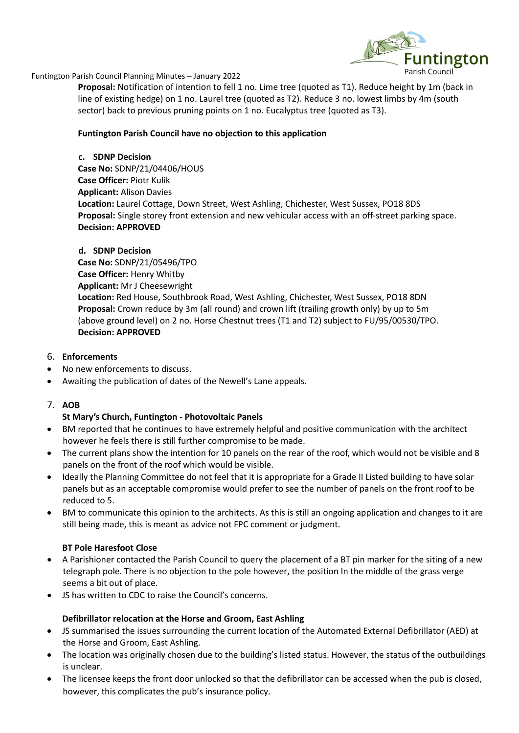

**Proposal:** Notification of intention to fell 1 no. Lime tree (quoted as T1). Reduce height by 1m (back in line of existing hedge) on 1 no. Laurel tree (quoted as T2). Reduce 3 no. lowest limbs by 4m (south sector) back to previous pruning points on 1 no. Eucalyptus tree (quoted as T3).

## **Funtington Parish Council have no objection to this application**

**c. SDNP Decision Case No:** SDNP/21/04406/HOUS **Case Officer:** Piotr Kulik **Applicant:** Alison Davies **Location:** Laurel Cottage, Down Street, West Ashling, Chichester, West Sussex, PO18 8DS **Proposal:** Single storey front extension and new vehicular access with an off-street parking space. **Decision: APPROVED**

## **d. SDNP Decision**

**Case No:** SDNP/21/05496/TPO **Case Officer:** Henry Whitby **Applicant:** Mr J Cheesewright **Location:** Red House, Southbrook Road, West Ashling, Chichester, West Sussex, PO18 8DN **Proposal:** Crown reduce by 3m (all round) and crown lift (trailing growth only) by up to 5m (above ground level) on 2 no. Horse Chestnut trees (T1 and T2) subject to FU/95/00530/TPO. **Decision: APPROVED**

#### 6. **Enforcements**

- No new enforcements to discuss.
- Awaiting the publication of dates of the Newell's Lane appeals.

## 7. **AOB**

## **St Mary's Church, Funtington - Photovoltaic Panels**

- BM reported that he continues to have extremely helpful and positive communication with the architect however he feels there is still further compromise to be made.
- The current plans show the intention for 10 panels on the rear of the roof, which would not be visible and 8 panels on the front of the roof which would be visible.
- Ideally the Planning Committee do not feel that it is appropriate for a Grade II Listed building to have solar panels but as an acceptable compromise would prefer to see the number of panels on the front roof to be reduced to 5.
- BM to communicate this opinion to the architects. As this is still an ongoing application and changes to it are still being made, this is meant as advice not FPC comment or judgment.

## **BT Pole Haresfoot Close**

- A Parishioner contacted the Parish Council to query the placement of a BT pin marker for the siting of a new telegraph pole. There is no objection to the pole however, the position In the middle of the grass verge seems a bit out of place.
- JS has written to CDC to raise the Council's concerns.

# **Defibrillator relocation at the Horse and Groom, East Ashling**

- JS summarised the issues surrounding the current location of the Automated External Defibrillator (AED) at the Horse and Groom, East Ashling.
- The location was originally chosen due to the building's listed status. However, the status of the outbuildings is unclear.
- The licensee keeps the front door unlocked so that the defibrillator can be accessed when the pub is closed, however, this complicates the pub's insurance policy.